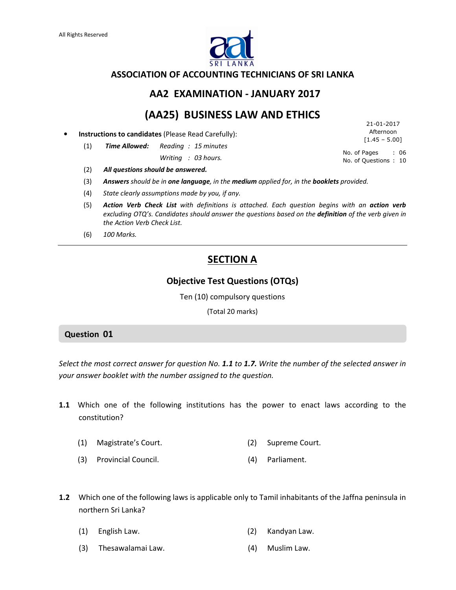

#### ASSOCIATION OF ACCOUNTING TECHNICIANS OF SRI LANKA

## AA2 EXAMINATION - JANUARY 2017

# (AA25) BUSINESS LAW AND ETHICS

• Instructions to candidates (Please Read Carefully):

(1) Time Allowed: Reading : 15 minutes

Writing : 03 hours.

No. of Pages : 06 No. of Questions : 10  $[1.45 - 5.00]$ 

21-01-2017 Afternoon

- (2) All questions should be answered.
- (3) Answers should be in one language, in the medium applied for, in the booklets provided.
- (4) State clearly assumptions made by you, if any.
- (5) Action Verb Check List with definitions is attached. Each question begins with an action verb excluding OTQ's. Candidates should answer the questions based on the definition of the verb given in the Action Verb Check List.
- (6) 100 Marks.

## **SECTION A**

## Objective Test Questions (OTQs)

Ten (10) compulsory questions

(Total 20 marks)

### Question 01

Select the most correct answer for question No. 1.1 to 1.7. Write the number of the selected answer in your answer booklet with the number assigned to the question.

- 1.1 Which one of the following institutions has the power to enact laws according to the constitution?
	- (1) Magistrate's Court. (2) Supreme Court.
	- (3) Provincial Council. (4) Parliament.
- 1.2 Which one of the following laws is applicable only to Tamil inhabitants of the Jaffna peninsula in northern Sri Lanka?
	- (1) English Law. (2) Kandyan Law.
	- (3) Thesawalamai Law. (4) Muslim Law.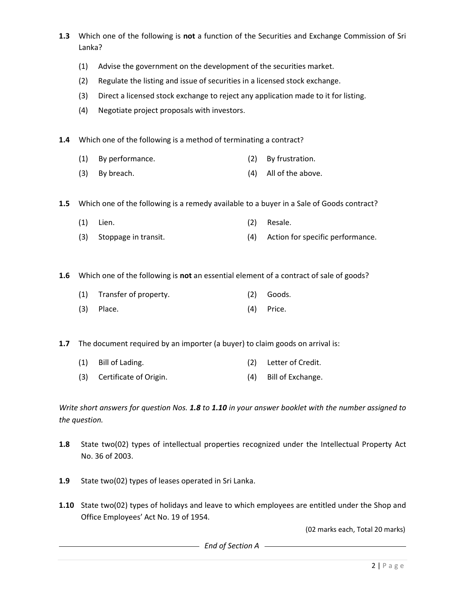- 1.3 Which one of the following is not a function of the Securities and Exchange Commission of Sri Lanka?
	- (1) Advise the government on the development of the securities market.
	- (2) Regulate the listing and issue of securities in a licensed stock exchange.
	- (3) Direct a licensed stock exchange to reject any application made to it for listing.
	- (4) Negotiate project proposals with investors.

1.4 Which one of the following is a method of terminating a contract?

- (1) By performance. (2) By frustration.
- (3) By breach. (4) All of the above.

1.5 Which one of the following is a remedy available to a buyer in a Sale of Goods contract?

- (1) Lien. (2) Resale.
- (3) Stoppage in transit. (4) Action for specific performance.

1.6 Which one of the following is not an essential element of a contract of sale of goods?

- (1) Transfer of property. (2) Goods.
- (3) Place. (4) Price.

**1.7** The document required by an importer (a buyer) to claim goods on arrival is:

- (1) Bill of Lading. (2) Letter of Credit.
- (3) Certificate of Origin. (4) Bill of Exchange.

Write short answers for question Nos. 1.8 to 1.10 in your answer booklet with the number assigned to the question.

- 1.8 State two(02) types of intellectual properties recognized under the Intellectual Property Act No. 36 of 2003.
- 1.9 State two(02) types of leases operated in Sri Lanka.
- **1.10** State two(02) types of holidays and leave to which employees are entitled under the Shop and Office Employees' Act No. 19 of 1954.

(02 marks each, Total 20 marks)

**End of Section A A**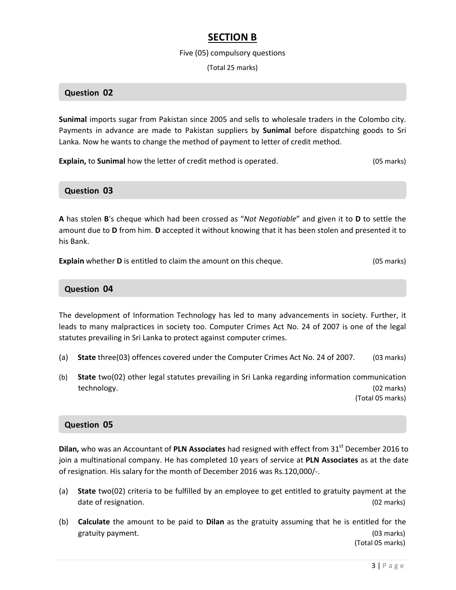## SECTION B

#### Five (05) compulsory questions

(Total 25 marks)

### Question 02

Sunimal imports sugar from Pakistan since 2005 and sells to wholesale traders in the Colombo city. Payments in advance are made to Pakistan suppliers by **Sunimal** before dispatching goods to Sri Lanka. Now he wants to change the method of payment to letter of credit method.

Explain, to Sunimal how the letter of credit method is operated. (05 marks)

# Question 03

A has stolen B's cheque which had been crossed as "Not Negotiable" and given it to D to settle the amount due to D from him. D accepted it without knowing that it has been stolen and presented it to his Bank.

**Explain** whether **D** is entitled to claim the amount on this cheque. (05 marks)

#### Question 04

The development of Information Technology has led to many advancements in society. Further, it leads to many malpractices in society too. Computer Crimes Act No. 24 of 2007 is one of the legal statutes prevailing in Sri Lanka to protect against computer crimes.

- (a) State three(03) offences covered under the Computer Crimes Act No. 24 of 2007. (03 marks)
- (b) State two(02) other legal statutes prevailing in Sri Lanka regarding information communication technology. (02 marks)

(Total 05 marks)

#### Question 05

Dilan, who was an Accountant of PLN Associates had resigned with effect from 31<sup>st</sup> December 2016 to join a multinational company. He has completed 10 years of service at PLN Associates as at the date of resignation. His salary for the month of December 2016 was Rs.120,000/-.

- (a) State two(02) criteria to be fulfilled by an employee to get entitled to gratuity payment at the date of resignation. (02 marks) (02 marks)
- (b) Calculate the amount to be paid to Dilan as the gratuity assuming that he is entitled for the gratuity payment. (03 marks) and the control of the control of the control of the control of the control of the control of the control of the control of the control of the control of the control of the control of the contr

(Total 05 marks)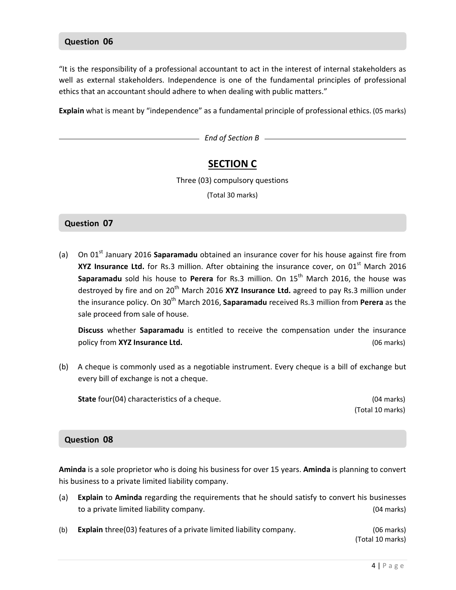#### Question 06

"It is the responsibility of a professional accountant to act in the interest of internal stakeholders as well as external stakeholders. Independence is one of the fundamental principles of professional ethics that an accountant should adhere to when dealing with public matters."

Explain what is meant by "independence" as a fundamental principle of professional ethics. (05 marks)

End of Section B

## SECTION C

Three (03) compulsory questions

(Total 30 marks)

#### Question 07

(a) On  $01<sup>st</sup>$  January 2016 Saparamadu obtained an insurance cover for his house against fire from XYZ Insurance Ltd. for Rs.3 million. After obtaining the insurance cover, on  $01<sup>st</sup>$  March 2016 Saparamadu sold his house to Perera for Rs.3 million. On  $15<sup>th</sup>$  March 2016, the house was destroyed by fire and on  $20^{th}$  March 2016 XYZ Insurance Ltd. agreed to pay Rs.3 million under the insurance policy. On 30<sup>th</sup> March 2016, **Saparamadu** received Rs.3 million from Perera as the sale proceed from sale of house.

Discuss whether Saparamadu is entitled to receive the compensation under the insurance policy from XYZ Insurance Ltd. (06 marks)

(b) A cheque is commonly used as a negotiable instrument. Every cheque is a bill of exchange but every bill of exchange is not a cheque.

State four(04) characteristics of a cheque. (04 marks)

(Total 10 marks)

#### Question 08

Aminda is a sole proprietor who is doing his business for over 15 years. Aminda is planning to convert his business to a private limited liability company.

- (a) Explain to Aminda regarding the requirements that he should satisfy to convert his businesses to a private limited liability company. (04 marks)
- (b) **Explain** three(03) features of a private limited liability company. (06 marks)

(Total 10 marks)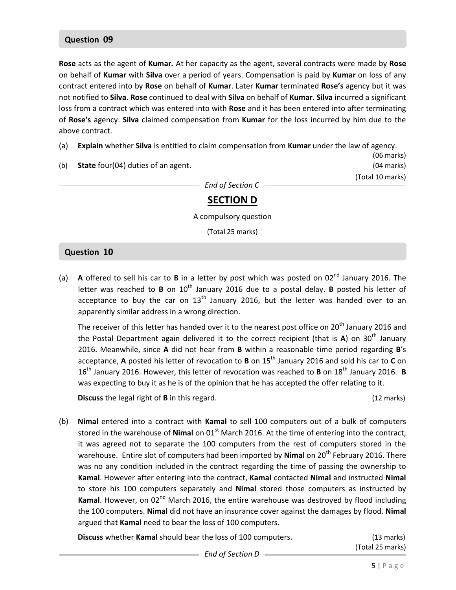## Question 09

Rose acts as the agent of Kumar. At her capacity as the agent, several contracts were made by Rose on behalf of Kumar with Silva over a period of years. Compensation is paid by Kumar on loss of any contract entered into by Rose on behalf of Kumar. Later Kumar terminated Rose's agency but it was not notified to Silva. Rose continued to deal with Silva on behalf of Kumar. Silva incurred a significant loss from a contract which was entered into with Rose and it has been entered into after terminating of Rose's agency. Silva claimed compensation from Kumar for the loss incurred by him due to the above contract.

- (a) Explain whether Silva is entitled to claim compensation from Kumar under the law of agency.
- (06 marks) (b) **State** four(04) duties of an agent. (b) controlled the state of the state of the state of the state of the state of the state of the state of the state of the state of the state of the state of the state of the state (Total 10 marks) End of Section C

# SECTION D

A compulsory question

(Total 25 marks)

### Question 10

(a) A offered to sell his car to  $B$  in a letter by post which was posted on  $02^{nd}$  January 2016. The letter was reached to **B** on  $10^{th}$  January 2016 due to a postal delay. **B** posted his letter of acceptance to buy the car on  $13<sup>th</sup>$  January 2016, but the letter was handed over to an apparently similar address in a wrong direction.

The receiver of this letter has handed over it to the nearest post office on 20<sup>th</sup> January 2016 and the Postal Department again delivered it to the correct recipient (that is A) on 30<sup>th</sup> January 2016. Meanwhile, since A did not hear from B within a reasonable time period regarding B's acceptance, A posted his letter of revocation to B on  $15^{th}$  January 2016 and sold his car to C on  $16<sup>th</sup>$  January 2016. However, this letter of revocation was reached to **B** on  $18<sup>th</sup>$  January 2016. **B** was expecting to buy it as he is of the opinion that he has accepted the offer relating to it.

**Discuss** the legal right of **B** in this regard. (12 marks) (12 marks)

(b) Nimal entered into a contract with Kamal to sell 100 computers out of a bulk of computers stored in the warehouse of Nimal on  $01<sup>st</sup>$  March 2016. At the time of entering into the contract, it was agreed not to separate the 100 computers from the rest of computers stored in the warehouse. Entire slot of computers had been imported by Nimal on 20<sup>th</sup> February 2016. There was no any condition included in the contract regarding the time of passing the ownership to Kamal. However after entering into the contract, Kamal contacted Nimal and instructed Nimal to store his 100 computers separately and Nimal stored those computers as instructed by Kamal. However, on 02<sup>nd</sup> March 2016, the entire warehouse was destroyed by flood including the 100 computers. Nimal did not have an insurance cover against the damages by flood. Nimal argued that Kamal need to bear the loss of 100 computers.

Discuss whether Kamal should bear the loss of 100 computers. (13 marks)

End of Section D

(Total 25 marks)